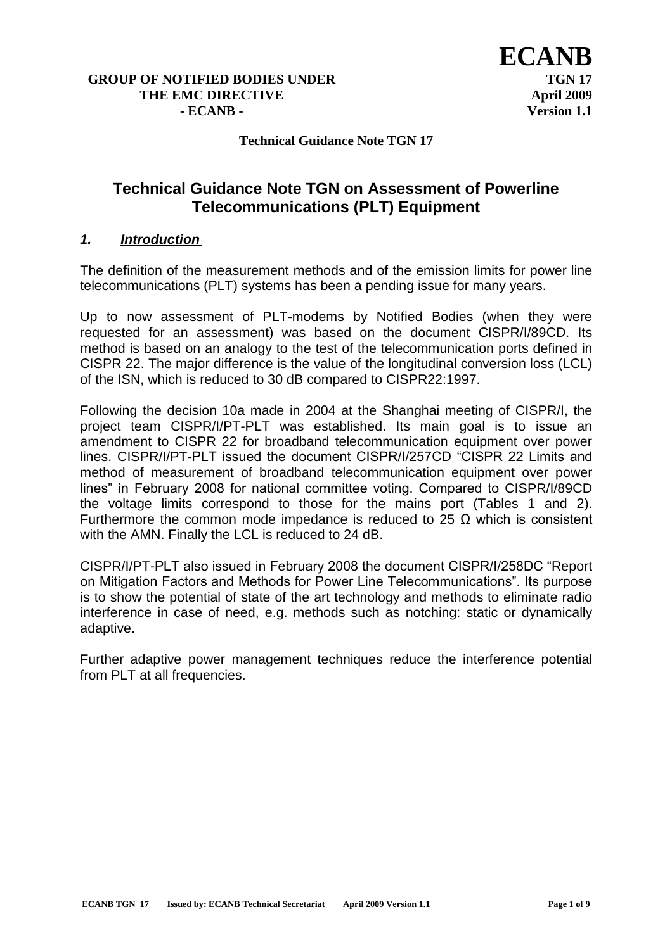#### **Technical Guidance Note TGN 17**

# **Technical Guidance Note TGN on Assessment of Powerline Telecommunications (PLT) Equipment**

#### *1. Introduction*

The definition of the measurement methods and of the emission limits for power line telecommunications (PLT) systems has been a pending issue for many years.

Up to now assessment of PLT-modems by Notified Bodies (when they were requested for an assessment) was based on the document CISPR/I/89CD. Its method is based on an analogy to the test of the telecommunication ports defined in CISPR 22. The major difference is the value of the longitudinal conversion loss (LCL) of the ISN, which is reduced to 30 dB compared to CISPR22:1997.

Following the decision 10a made in 2004 at the Shanghai meeting of CISPR/I, the project team CISPR/I/PT-PLT was established. Its main goal is to issue an amendment to CISPR 22 for broadband telecommunication equipment over power lines. CISPR/I/PT-PLT issued the document CISPR/I/257CD "CISPR 22 Limits and method of measurement of broadband telecommunication equipment over power lines" in February 2008 for national committee voting. Compared to CISPR/I/89CD the voltage limits correspond to those for the mains port (Tables 1 and 2). Furthermore the common mode impedance is reduced to 25  $\Omega$  which is consistent with the AMN. Finally the LCL is reduced to 24 dB.

CISPR/I/PT-PLT also issued in February 2008 the document CISPR/I/258DC "Report on Mitigation Factors and Methods for Power Line Telecommunications". Its purpose is to show the potential of state of the art technology and methods to eliminate radio interference in case of need, e.g. methods such as notching: static or dynamically adaptive.

Further adaptive power management techniques reduce the interference potential from PLT at all frequencies.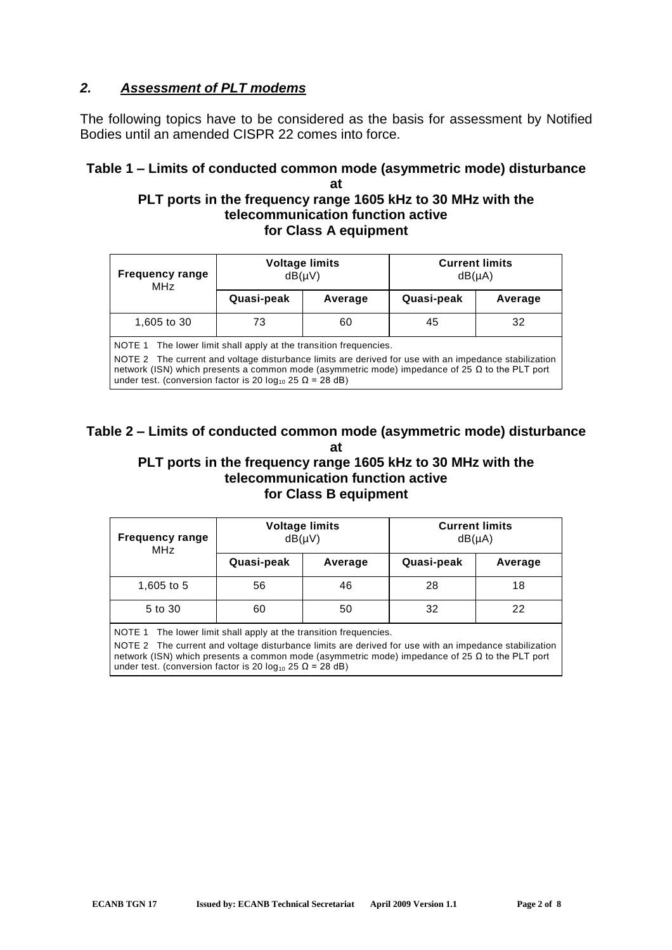## *2. Assessment of PLT modems*

The following topics have to be considered as the basis for assessment by Notified Bodies until an amended CISPR 22 comes into force.

### **Table 1 –Limits of conducted common mode (asymmetric mode) disturbance at**

### **PLT ports in the frequency range 1605 kHz to 30 MHz with the telecommunication function active for Class A equipment**

| <b>Frequency range</b><br>MH <sub>7</sub>                                                                                                                                                                                                                                                                                                                   | <b>Voltage limits</b><br>$dB(\mu V)$ |         | <b>Current limits</b><br>$dB(\mu A)$ |         |  |  |
|-------------------------------------------------------------------------------------------------------------------------------------------------------------------------------------------------------------------------------------------------------------------------------------------------------------------------------------------------------------|--------------------------------------|---------|--------------------------------------|---------|--|--|
|                                                                                                                                                                                                                                                                                                                                                             | Quasi-peak                           | Average | Quasi-peak                           | Average |  |  |
| 1,605 to 30                                                                                                                                                                                                                                                                                                                                                 | 73                                   | 60      | 45                                   | 32      |  |  |
| NOTE 1 The lower limit shall apply at the transition frequencies.<br>NOTE 2 The current and voltage disturbance limits are derived for use with an impedance stabilization<br>network (ISN) which presents a common mode (asymmetric mode) impedance of 25 $\Omega$ to the PLT port<br>under test. (conversion factor is 20 $log_{10}$ 25 $\Omega$ = 28 dB) |                                      |         |                                      |         |  |  |

# **Table 2 –Limits of conducted common mode (asymmetric mode) disturbance at**

### **PLT ports in the frequency range 1605 kHz to 30 MHz with the telecommunication function active for Class B equipment**

| <b>Frequency range</b><br><b>MHz</b> | $dB(\mu V)$ | <b>Voltage limits</b> | <b>Current limits</b><br>$dB(\mu A)$ |         |
|--------------------------------------|-------------|-----------------------|--------------------------------------|---------|
|                                      | Quasi-peak  | Average               | Quasi-peak                           | Average |
| 1,605 to 5                           | 56          | 46                    | 28                                   | 18      |
| 5 to 30                              | 60          | 50                    | 32                                   | 22      |

NOTE 1 The lower limit shall apply at the transition frequencies.

NOTE 2 The current and voltage disturbance limits are derived for use with an impedance stabilization network (ISN) which presents a common mode (asymmetric mode) impedance of 25  $Ω$  to the PLT port under test. (conversion factor is 20  $log_{10}$  25  $\Omega$  = 28 dB)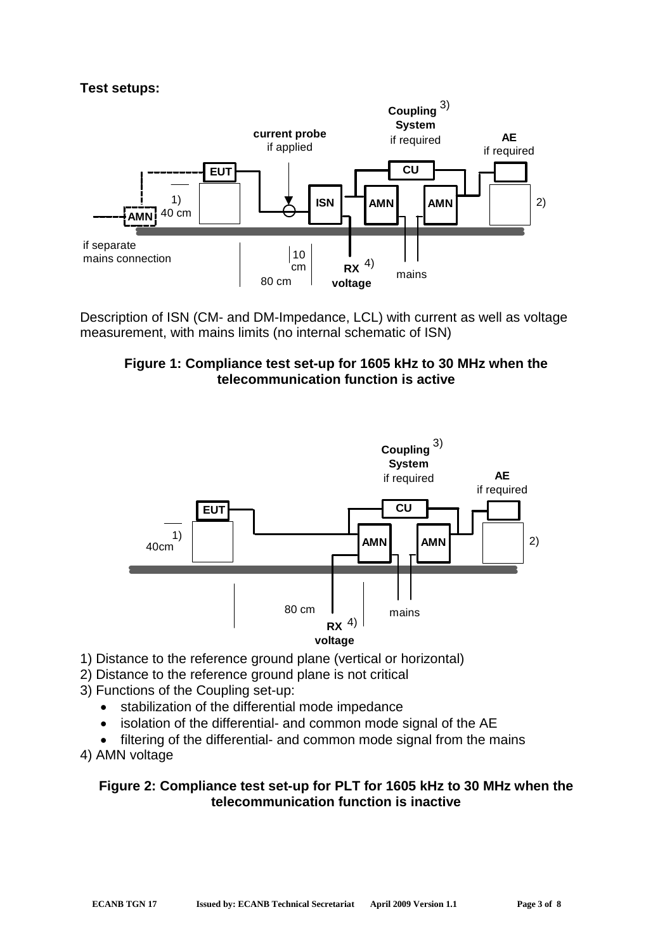### **Test setups:**



Description of ISN (CM- and DM-Impedance, LCL) with current as well as voltage measurement, with mains limits (no internal schematic of ISN)





- 1) Distance to the reference ground plane (vertical or horizontal)
- 2) Distance to the reference ground plane is not critical
- 3) Functions of the Coupling set-up:
	- stabilization of the differential mode impedance
	- isolation of the differential- and common mode signal of the AE
	- filtering of the differential- and common mode signal from the mains

4) AMN voltage

#### **Figure 2: Compliance test set-up for PLT for 1605 kHz to 30 MHz when the telecommunication function is inactive**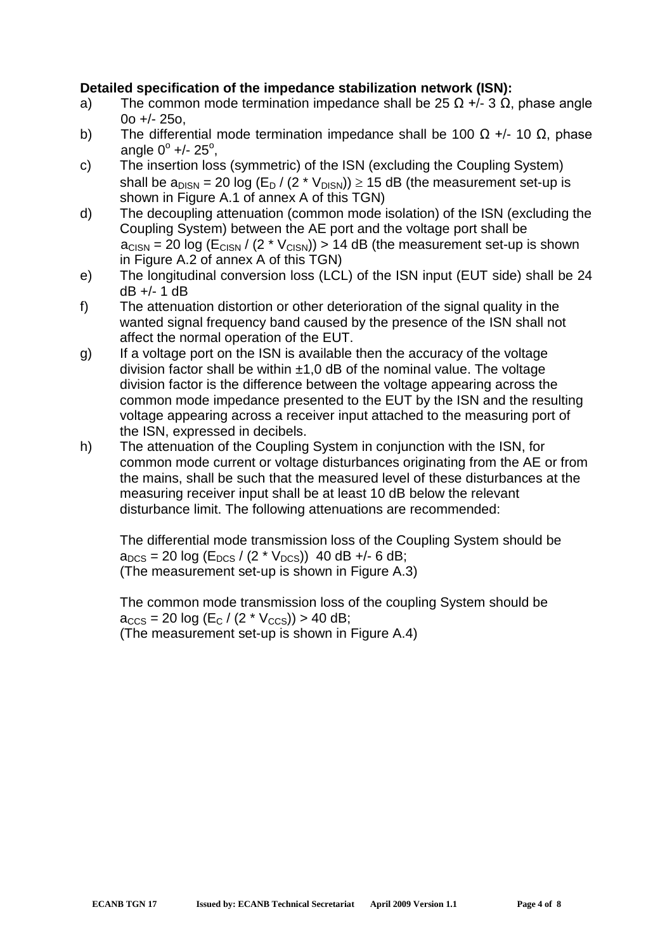## **Detailed specification of the impedance stabilization network (ISN):**

- a) The common mode termination impedance shall be 25  $\Omega$  +/- 3  $\Omega$ , phase angle 0o +/- 25o,
- b) The differential mode termination impedance shall be 100  $\Omega$  +/- 10  $\Omega$ , phase angle  $0^{\circ}$  +/- 25 $^{\circ}$ ,
- c) The insertion loss (symmetric) of the ISN (excluding the Coupling System) shall be  $a_{DISN} = 20 \log (E_D / (2 * V_{DISN})) \ge 15$  dB (the measurement set-up is shown in Figure A.1 of annex A of this TGN)
- d) The decoupling attenuation (common mode isolation) of the ISN (excluding the Coupling System) between the AE port and the voltage port shall be  $a<sub>CISN</sub> = 20 log (E<sub>CISN</sub> / (2 * V<sub>CISN</sub>)) > 14 dB (the measurement set-up is shown)$ in Figure A.2 of annex A of this TGN)
- e) The longitudinal conversion loss (LCL) of the ISN input (EUT side) shall be 24 dB +/- 1 dB
- f) The attenuation distortion or other deterioration of the signal quality in the wanted signal frequency band caused by the presence of the ISN shall not affect the normal operation of the EUT.
- g) If a voltage port on the ISN is available then the accuracy of the voltage division factor shall be within  $\pm 1.0$  dB of the nominal value. The voltage division factor is the difference between the voltage appearing across the common mode impedance presented to the EUT by the ISN and the resulting voltage appearing across a receiver input attached to the measuring port of the ISN, expressed in decibels.
- h) The attenuation of the Coupling System in conjunction with the ISN, for common mode current or voltage disturbances originating from the AE or from the mains, shall be such that the measured level of these disturbances at the measuring receiver input shall be at least 10 dB below the relevant disturbance limit. The following attenuations are recommended:

The differential mode transmission loss of the Coupling System should be  $a_{DCS}$  = 20 log (E<sub>DCS</sub> / (2 \* V<sub>DCS</sub>)) 40 dB +/- 6 dB; (The measurement set-up is shown in Figure A.3)

The common mode transmission loss of the coupling System should be  $a_{CCS}$  = 20 log (E<sub>C</sub> / (2 \* V<sub>CCS</sub>)) > 40 dB; (The measurement set-up is shown in Figure A.4)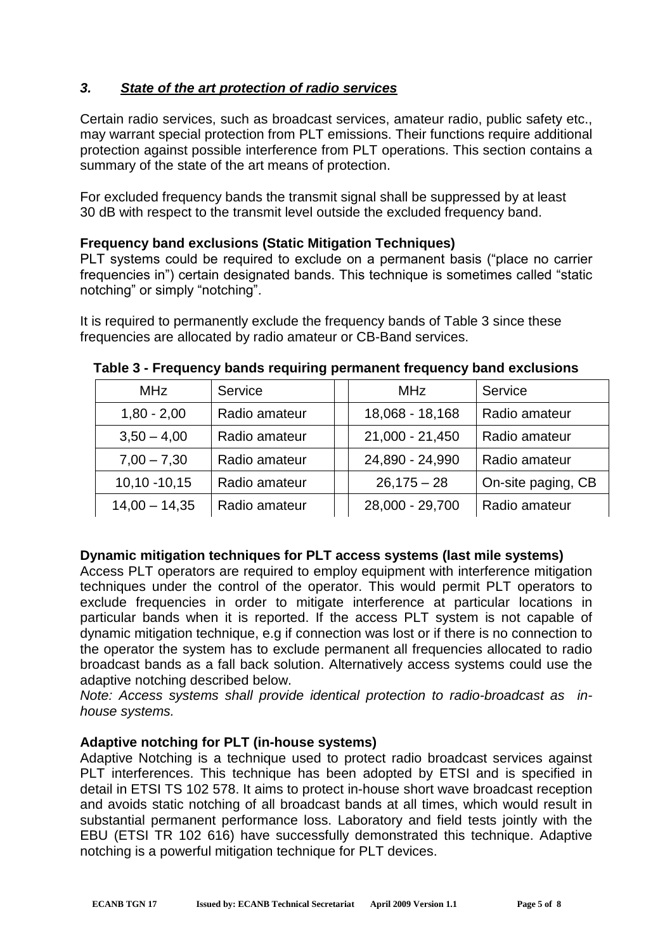## *3. State of the art protection of radio services*

Certain radio services, such as broadcast services, amateur radio, public safety etc., may warrant special protection from PLT emissions. Their functions require additional protection against possible interference from PLT operations. This section contains a summary of the state of the art means of protection.

For excluded frequency bands the transmit signal shall be suppressed by at least 30 dB with respect to the transmit level outside the excluded frequency band.

### **Frequency band exclusions (Static Mitigation Techniques)**

PLT systems could be required to exclude on a permanent basis ("place no carrier frequencies in") certain designated bands. This technique is sometimes called "static notching" or simply "notching".

It is required to permanently exclude the frequency bands of Table 3 since these frequencies are allocated by radio amateur or CB-Band services.

| <b>MHz</b>      | Service       | <b>MHz</b>      | Service            |
|-----------------|---------------|-----------------|--------------------|
| $1,80 - 2,00$   | Radio amateur | 18,068 - 18,168 | Radio amateur      |
| $3,50 - 4,00$   | Radio amateur | 21,000 - 21,450 | Radio amateur      |
| $7,00 - 7,30$   | Radio amateur | 24,890 - 24,990 | Radio amateur      |
| $10,10 - 10,15$ | Radio amateur | $26,175 - 28$   | On-site paging, CB |
| $14,00 - 14,35$ | Radio amateur | 28,000 - 29,700 | Radio amateur      |

**Table 3 - Frequency bands requiring permanent frequency band exclusions**

## **Dynamic mitigation techniques for PLT access systems (last mile systems)**

Access PLT operators are required to employ equipment with interference mitigation techniques under the control of the operator. This would permit PLT operators to exclude frequencies in order to mitigate interference at particular locations in particular bands when it is reported. If the access PLT system is not capable of dynamic mitigation technique, e.g if connection was lost or if there is no connection to the operator the system has to exclude permanent all frequencies allocated to radio broadcast bands as a fall back solution. Alternatively access systems could use the adaptive notching described below.

*Note: Access systems shall provide identical protection to radio-broadcast as inhouse systems.*

## **Adaptive notching for PLT (in-house systems)**

Adaptive Notching is a technique used to protect radio broadcast services against PLT interferences. This technique has been adopted by ETSI and is specified in detail in ETSI TS 102 578. It aims to protect in-house short wave broadcast reception and avoids static notching of all broadcast bands at all times, which would result in substantial permanent performance loss. Laboratory and field tests jointly with the EBU (ETSI TR 102 616) have successfully demonstrated this technique. Adaptive notching is a powerful mitigation technique for PLT devices.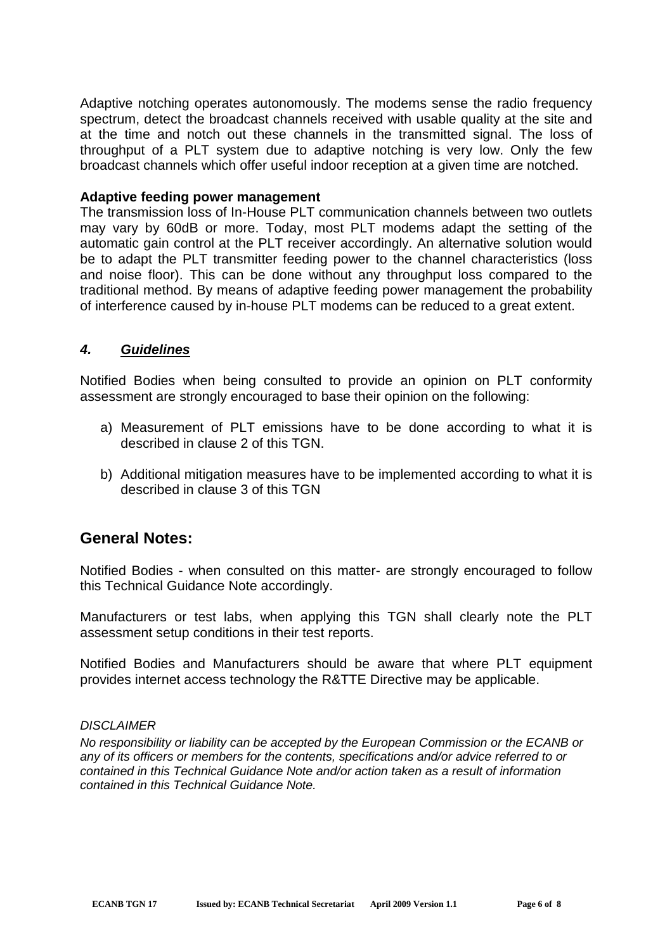Adaptive notching operates autonomously. The modems sense the radio frequency spectrum, detect the broadcast channels received with usable quality at the site and at the time and notch out these channels in the transmitted signal. The loss of throughput of a PLT system due to adaptive notching is very low. Only the few broadcast channels which offer useful indoor reception at a given time are notched.

#### **Adaptive feeding power management**

The transmission loss of In-House PLT communication channels between two outlets may vary by 60dB or more. Today, most PLT modems adapt the setting of the automatic gain control at the PLT receiver accordingly. An alternative solution would be to adapt the PLT transmitter feeding power to the channel characteristics (loss and noise floor). This can be done without any throughput loss compared to the traditional method. By means of adaptive feeding power management the probability of interference caused by in-house PLT modems can be reduced to a great extent.

### *4. Guidelines*

Notified Bodies when being consulted to provide an opinion on PLT conformity assessment are strongly encouraged to base their opinion on the following:

- a) Measurement of PLT emissions have to be done according to what it is described in clause 2 of this TGN.
- b) Additional mitigation measures have to be implemented according to what it is described in clause 3 of this TGN

## **General Notes:**

Notified Bodies - when consulted on this matter- are strongly encouraged to follow this Technical Guidance Note accordingly.

Manufacturers or test labs, when applying this TGN shall clearly note the PLT assessment setup conditions in their test reports.

Notified Bodies and Manufacturers should be aware that where PLT equipment provides internet access technology the R&TTE Directive may be applicable.

#### *DISCLAIMER*

*No responsibility or liability can be accepted by the European Commission or the ECANB or any of its officers or members for the contents, specifications and/or advice referred to or contained in this Technical Guidance Note and/or action taken as a result of information contained in this Technical Guidance Note.*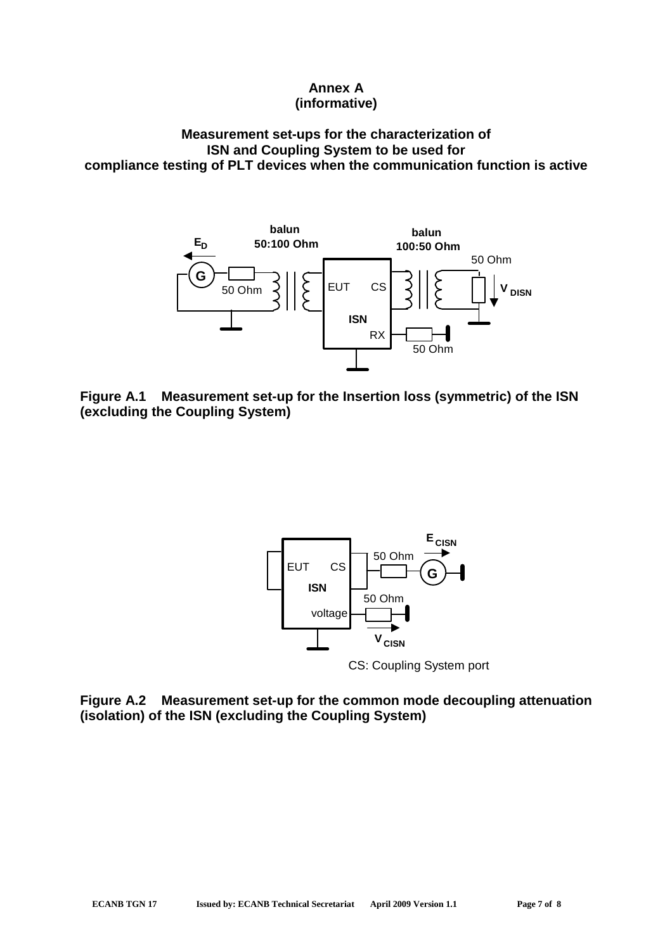## **Annex A (informative)**

#### **Measurement set-ups for the characterization of ISN and Coupling System to be used for compliance testing of PLT devices when the communication function is active**



**Figure A.1 Measurement set-up for the Insertion loss (symmetric) of the ISN (excluding the Coupling System)**



CS: Coupling System port

**Figure A.2 Measurement set-up for the common mode decoupling attenuation (isolation) of the ISN (excluding the Coupling System)**